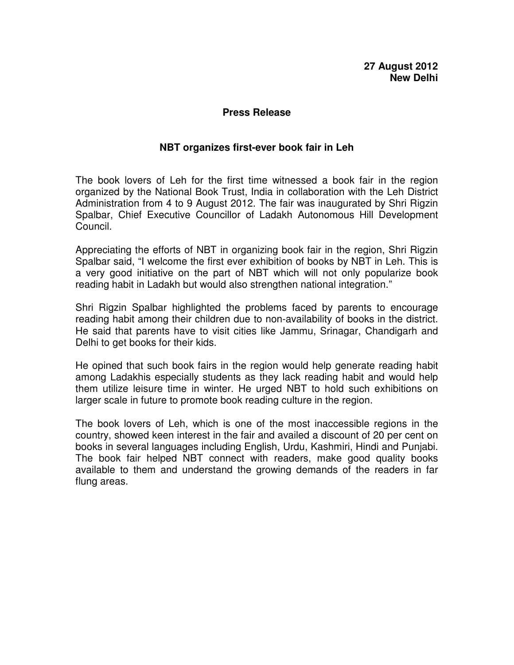## **27 August 2012 New Delhi**

#### **Press Release**

## **NBT organizes first-ever book fair in Leh**

The book lovers of Leh for the first time witnessed a book fair in the region organized by the National Book Trust, India in collaboration with the Leh District Administration from 4 to 9 August 2012. The fair was inaugurated by Shri Rigzin Spalbar, Chief Executive Councillor of Ladakh Autonomous Hill Development Council.

Appreciating the efforts of NBT in organizing book fair in the region, Shri Rigzin Spalbar said, "I welcome the first ever exhibition of books by NBT in Leh. This is a very good initiative on the part of NBT which will not only popularize book reading habit in Ladakh but would also strengthen national integration."

Shri Rigzin Spalbar highlighted the problems faced by parents to encourage reading habit among their children due to non-availability of books in the district. He said that parents have to visit cities like Jammu, Srinagar, Chandigarh and Delhi to get books for their kids.

He opined that such book fairs in the region would help generate reading habit among Ladakhis especially students as they lack reading habit and would help them utilize leisure time in winter. He urged NBT to hold such exhibitions on larger scale in future to promote book reading culture in the region.

The book lovers of Leh, which is one of the most inaccessible regions in the country, showed keen interest in the fair and availed a discount of 20 per cent on books in several languages including English, Urdu, Kashmiri, Hindi and Punjabi. The book fair helped NBT connect with readers, make good quality books available to them and understand the growing demands of the readers in far flung areas.